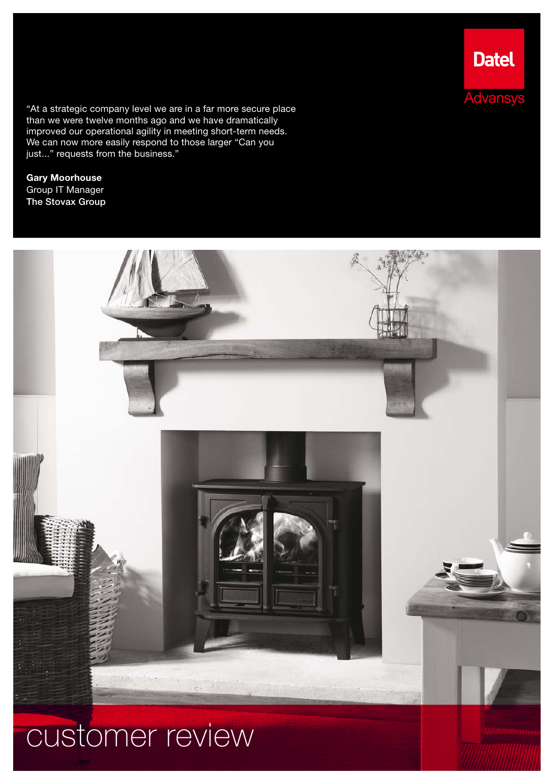"At a strategic company level we are in a far more secure place than we were twelve months ago and we have dramatically improved our operational agility in meeting short-term needs. We can now more easily respond to those larger "Can you just..." requests from the business."

Gary Moorhouse Group IT Manager The Stovax Group



# customer review

**Datel** 

**Advansys**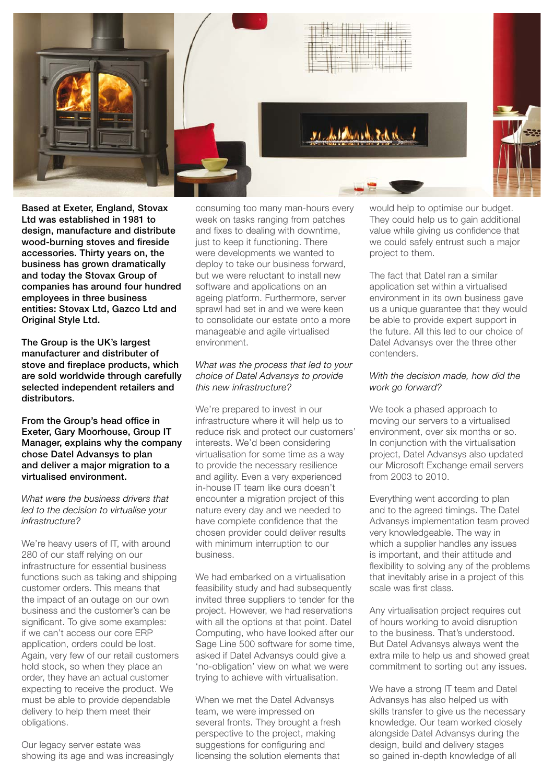

Based at Exeter, England, Stovax Ltd was established in 1981 to design, manufacture and distribute wood-burning stoves and fireside accessories. Thirty years on, the business has grown dramatically and today the Stovax Group of companies has around four hundred employees in three business entities: Stovax Ltd, Gazco Ltd and **Original Style Ltd.** 

The Group is the UK's largest manufacturer and distributer of stove and fireplace products, which are sold worldwide through carefully selected independent retailers and distributors.

#### From the Group's head office in Exeter, Gary Moorhouse, Group IT Manager, explains why the company chose Datel Advansys to plan and deliver a major migration to a virtualised environment.

*What were the business drivers that led to the decision to virtualise your infrastructure?*

We're heavy users of IT, with around 280 of our staff relying on our infrastructure for essential business functions such as taking and shipping customer orders. This means that the impact of an outage on our own business and the customer's can be significant. To give some examples: if we can't access our core ERP application, orders could be lost. Again, very few of our retail customers hold stock, so when they place an order, they have an actual customer expecting to receive the product. We must be able to provide dependable delivery to help them meet their obligations.

Our legacy server estate was showing its age and was increasingly consuming too many man-hours every week on tasks ranging from patches and fixes to dealing with downtime, just to keep it functioning. There were developments we wanted to deploy to take our business forward, but we were reluctant to install new software and applications on an ageing platform. Furthermore, server sprawl had set in and we were keen to consolidate our estate onto a more manageable and agile virtualised environment.

## *What was the process that led to your choice of Datel Advansys to provide this new infrastructure?*

We're prepared to invest in our infrastructure where it will help us to reduce risk and protect our customers' interests. We'd been considering virtualisation for some time as a way to provide the necessary resilience and agility. Even a very experienced in-house IT team like ours doesn't encounter a migration project of this nature every day and we needed to have complete confidence that the chosen provider could deliver results with minimum interruption to our business.

We had embarked on a virtualisation feasibility study and had subsequently invited three suppliers to tender for the project. However, we had reservations with all the options at that point. Datel Computing, who have looked after our Sage Line 500 software for some time, asked if Datel Advansys could give a 'no-obligation' view on what we were trying to achieve with virtualisation.

When we met the Datel Advansys team, we were impressed on several fronts. They brought a fresh perspective to the project, making suggestions for configuring and licensing the solution elements that

would help to optimise our budget. They could help us to gain additional value while giving us confidence that we could safely entrust such a major project to them.

The fact that Datel ran a similar application set within a virtualised environment in its own business gave us a unique guarantee that they would be able to provide expert support in the future. All this led to our choice of Datel Advansys over the three other contenders.

# *With the decision made, how did the work go forward?*

We took a phased approach to moving our servers to a virtualised environment, over six months or so. In conjunction with the virtualisation project, Datel Advansys also updated our Microsoft Exchange email servers from 2003 to 2010.

Everything went according to plan and to the agreed timings. The Datel Advansys implementation team proved very knowledgeable. The way in which a supplier handles any issues is important, and their attitude and flexibility to solving any of the problems that inevitably arise in a project of this scale was first class.

Any virtualisation project requires out of hours working to avoid disruption to the business. That's understood. But Datel Advansys always went the extra mile to help us and showed great commitment to sorting out any issues.

We have a strong IT team and Datel Advansys has also helped us with skills transfer to give us the necessary knowledge. Our team worked closely alongside Datel Advansys during the design, build and delivery stages so gained in-depth knowledge of all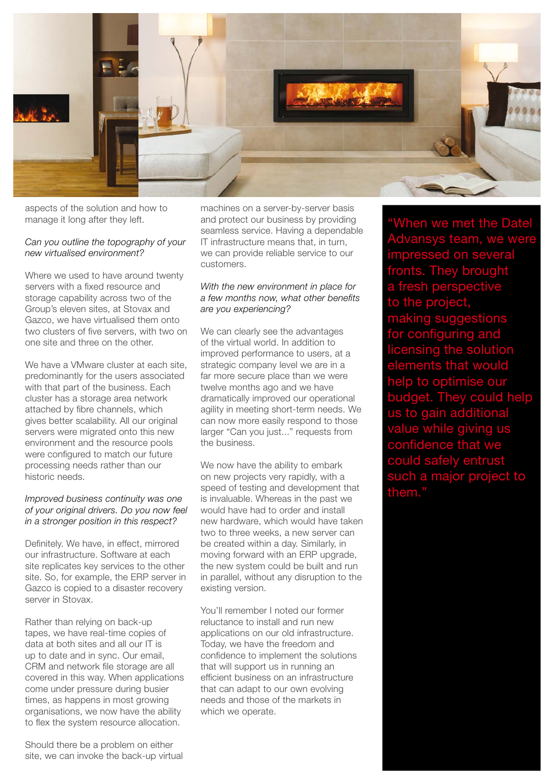

aspects of the solution and how to manage it long after they left.

# *Can you outline the topography of your new virtualised environment?*

Where we used to have around twenty servers with a fixed resource and storage capability across two of the Group's eleven sites, at Stovax and Gazco, we have virtualised them onto two clusters of five servers, with two on one site and three on the other.

We have a VMware cluster at each site predominantly for the users associated with that part of the business. Each cluster has a storage area network attached by fibre channels, which gives better scalability. All our original servers were migrated onto this new environment and the resource pools were configured to match our future processing needs rather than our historic needs.

## *Improved business continuity was one of your original drivers. Do you now feel in a stronger position in this respect?*

Definitely. We have, in effect, mirrored our infrastructure. Software at each site replicates key services to the other site. So, for example, the ERP server in Gazco is copied to a disaster recovery server in Stovax.

Rather than relying on back-up tapes, we have real-time copies of data at both sites and all our IT is up to date and in sync. Our email, CRM and network file storage are all covered in this way. When applications come under pressure during busier times, as happens in most growing organisations, we now have the ability to flex the system resource allocation.

Should there be a problem on either site, we can invoke the back-up virtual

machines on a server-by-server basis and protect our business by providing seamless service. Having a dependable IT infrastructure means that, in turn, we can provide reliable service to our customers.

#### *With the new environment in place for a few months now, what other benefits are you experiencing?*

We can clearly see the advantages of the virtual world. In addition to improved performance to users, at a strategic company level we are in a far more secure place than we were twelve months ago and we have dramatically improved our operational agility in meeting short-term needs. We can now more easily respond to those larger "Can you just..." requests from the business.

We now have the ability to embark on new projects very rapidly, with a speed of testing and development that is invaluable. Whereas in the past we would have had to order and install new hardware, which would have taken two to three weeks, a new server can be created within a day. Similarly, in moving forward with an ERP upgrade, the new system could be built and run in parallel, without any disruption to the existing version.

You'll remember I noted our former reluctance to install and run new applications on our old infrastructure. Today, we have the freedom and confidence to implement the solutions that will support us in running an efficient business on an infrastructure that can adapt to our own evolving needs and those of the markets in which we operate.

"When we met the Datel Advansys team, we were pressed on several . They brought fresh perspective he projec king suggestions configuring and licensing the solution ments that would to optimise our budget. They could help to gain additional <mark>ılue while giving us</mark> confidence could safely entrust such a major project to them.